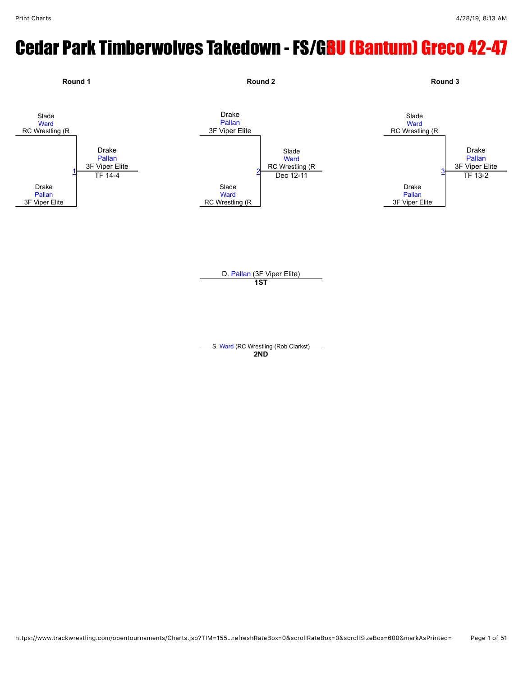# Cedar Park Timberwolves Takedown - FS/GBU (Bantum) Greco 42-47



S. [Ward](javascript:viewProfile(665409132)) (RC Wrestling (Rob Clarkst) **2ND**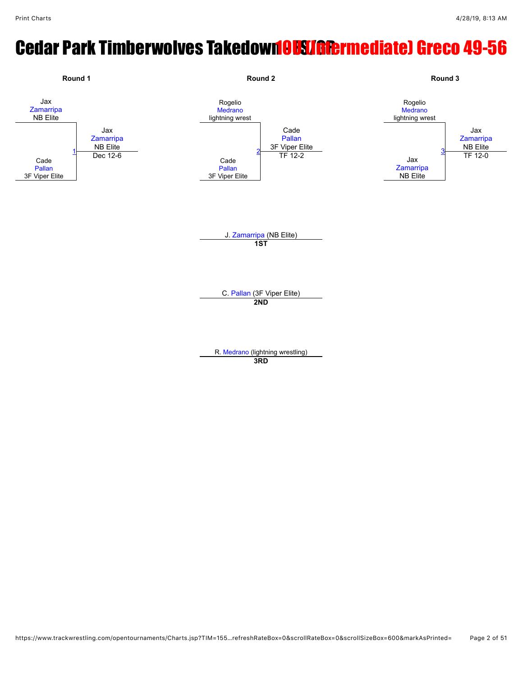# **Cedar Park Timberwolves Takedown OUSLIGRET mediatel Greco 49-56**

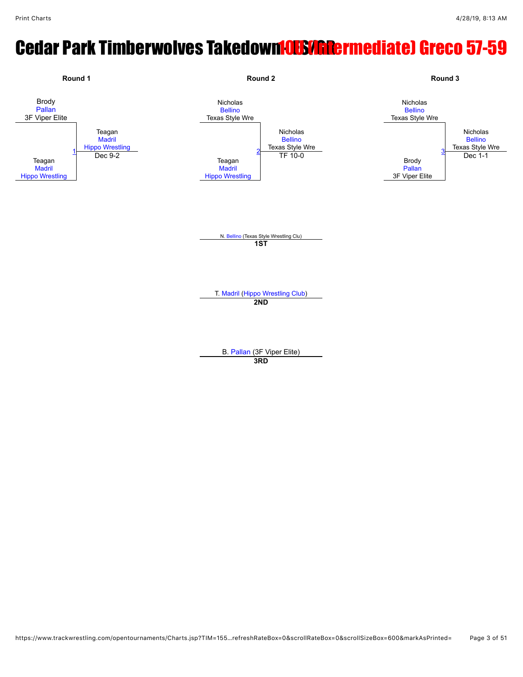# **Cedar Park Timberwolves Takedown <b>OUS/INDermediate) Greco 57-59**

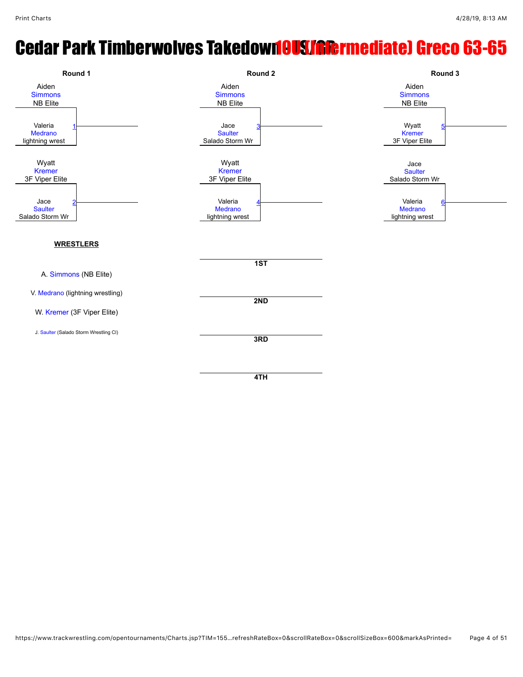### **Cedar Park Timberwolves Takedown OUSLAR Extragalated Greco 63-65**

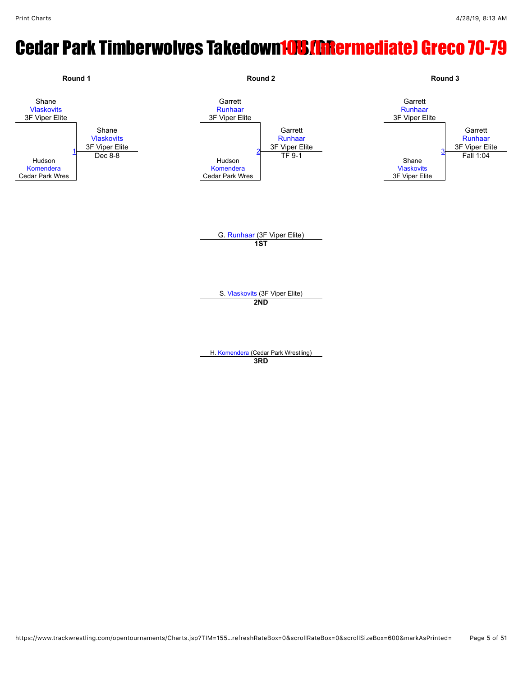# **Cedar Park Timberwolves Takedown10S/GRermediate) Greco 70-79**

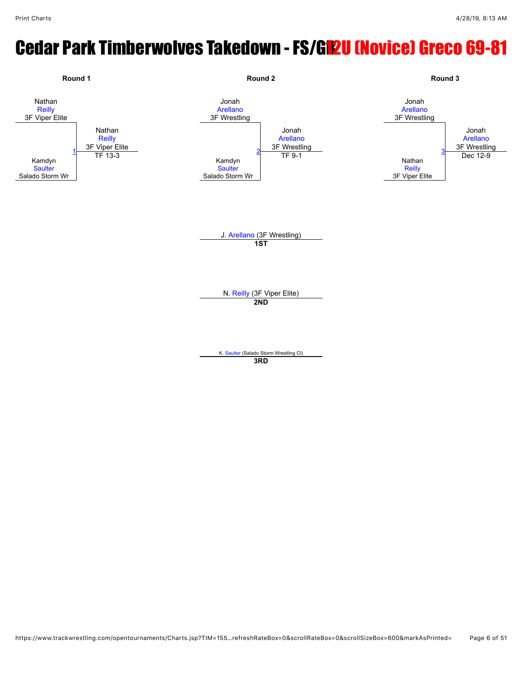# Cedar Park Timberwolves Takedown - FS/GR2U (Novice) Greco 69-81

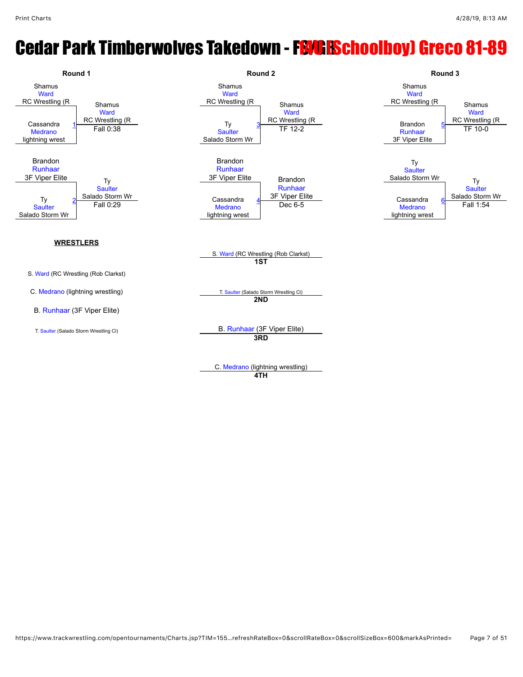# **Cedar Park Timberwolves Takedown - FBM: ESchoolboy) Greco 81-89**



C. [Medrano](javascript:viewProfile(1005975132)) (lightning wrestling)

**4TH**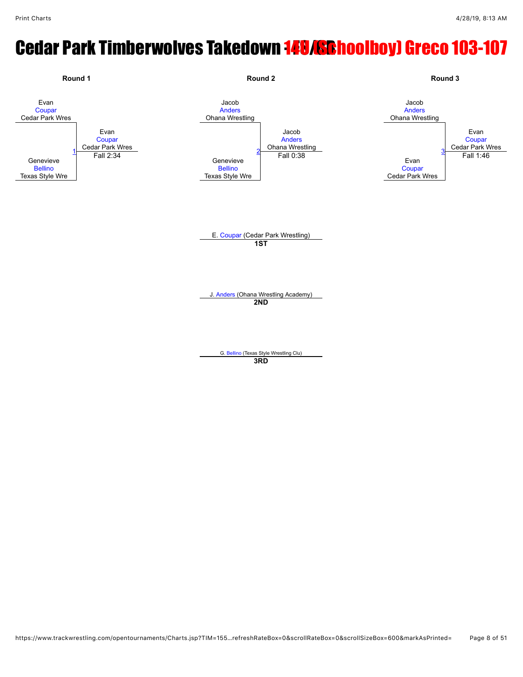# **Cedar Park Timberwolves Takedown 148/SRhoolboy) Greco 103-107**

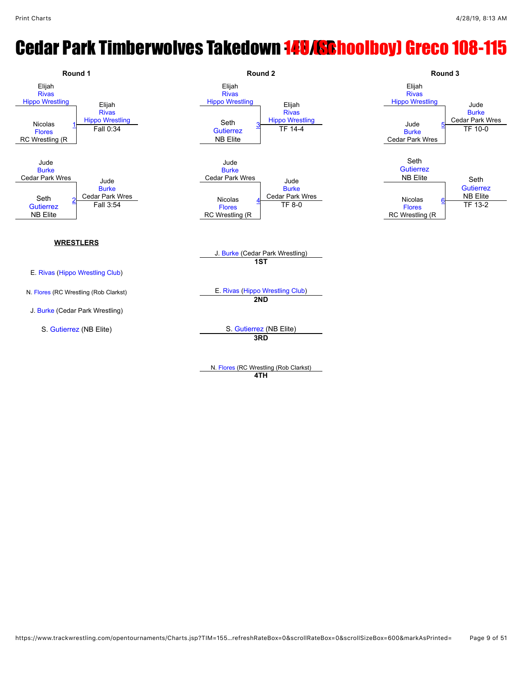### **Cedar Park Timberwolves Takedown 149/SRhoolboy) Greco 108-115**



**4TH**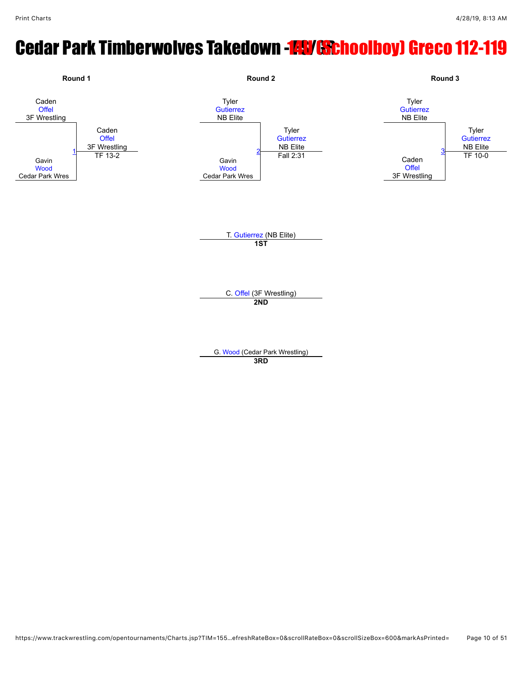# Cedar Park Timberwolves Takedown - FSY GSChoolboy) Greco 112-119

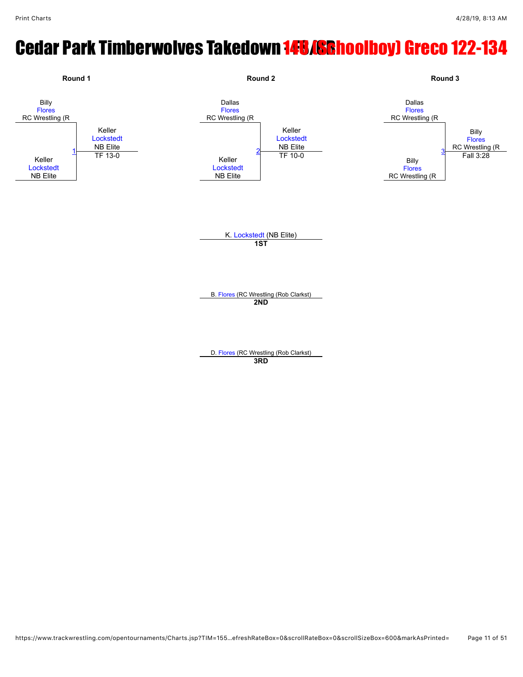# **Cedar Park Timberwolves Takedown 148/SRhoolboy) Greco 122-134**

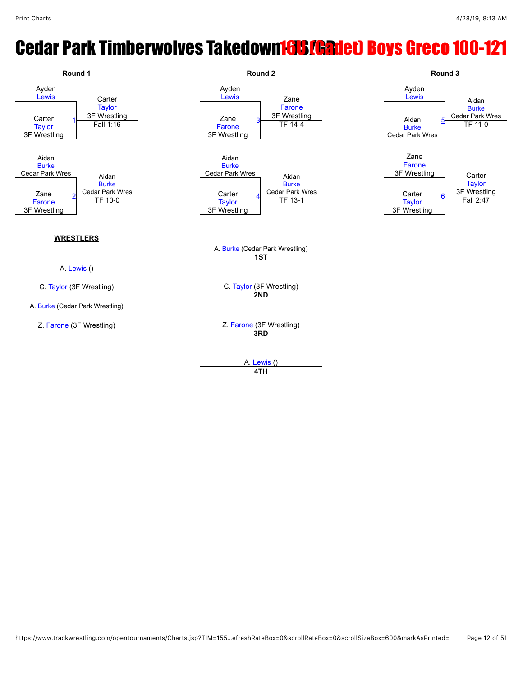# **Cedar Park Timberwolves Takedown 16US [Gadet] Boys Greco 100-121**



A. [Lewis](javascript:viewProfile(1097420009)) () **4TH**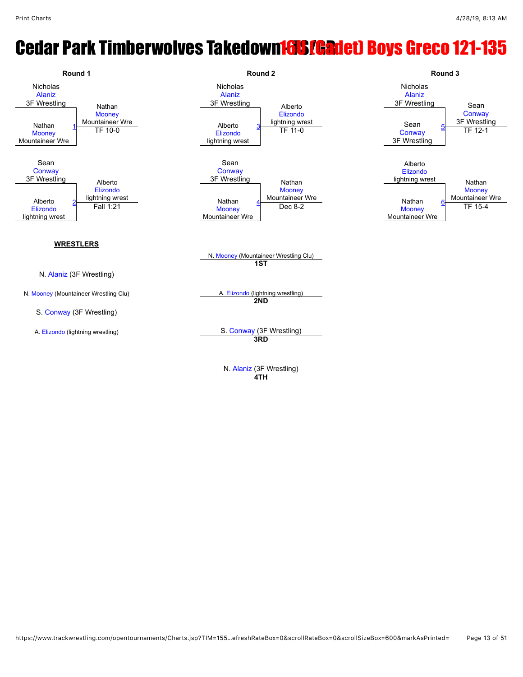### **Cedar Park Timberwolves Takedown 16US [Gadet] Boys Greco 121-135**



**4TH**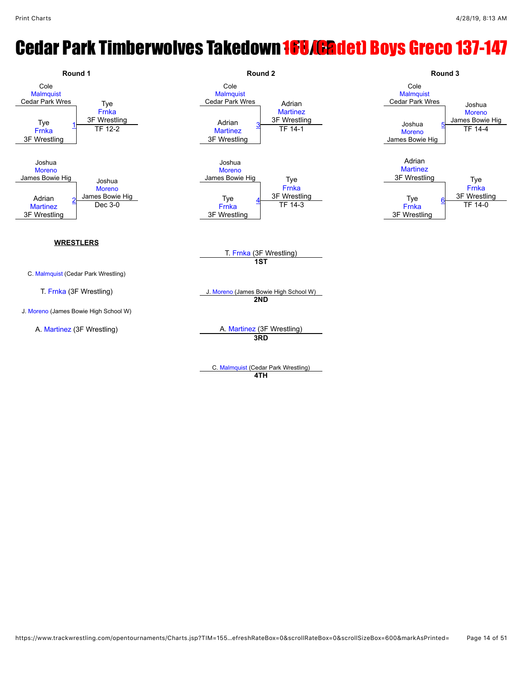## **Cedar Park Timberwolves Takedown 168 (Cadet) Boys Greco 137-147**

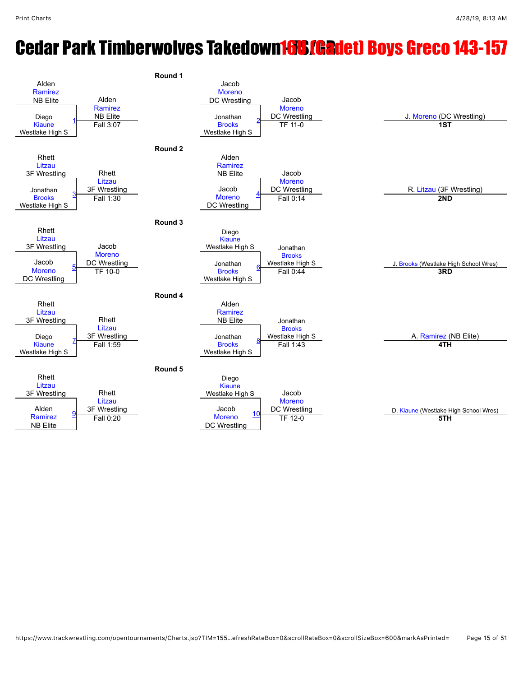### **Cedar Park Timberwolves Takedown 16US (Gadet) Boys Greco 143-157**

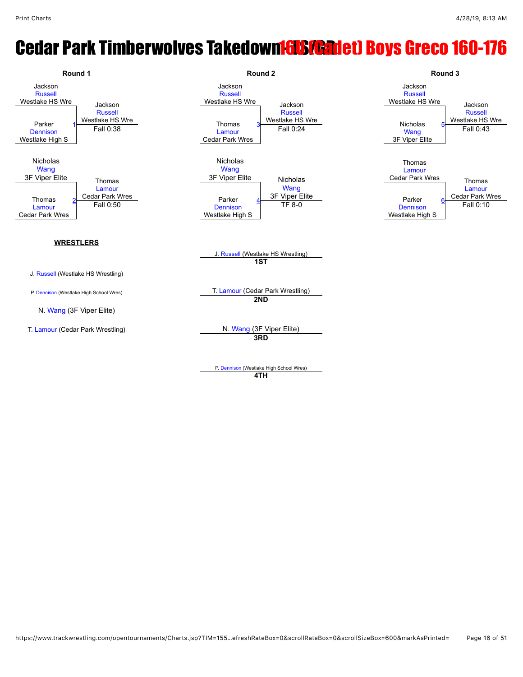### **Cedar Park Timberwolves Takedown Fols/Gadet) Boys Greco 160-176**

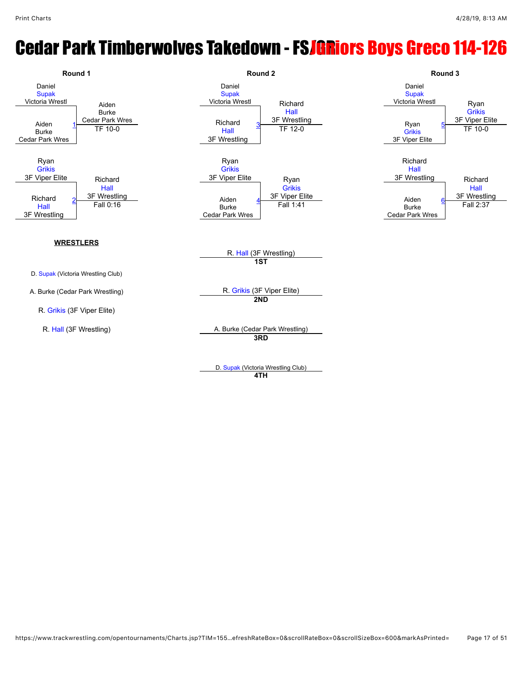### **Cedar Park Timberwolves Takedown - FSJGRiors Boys Greco 114-126**



**4TH**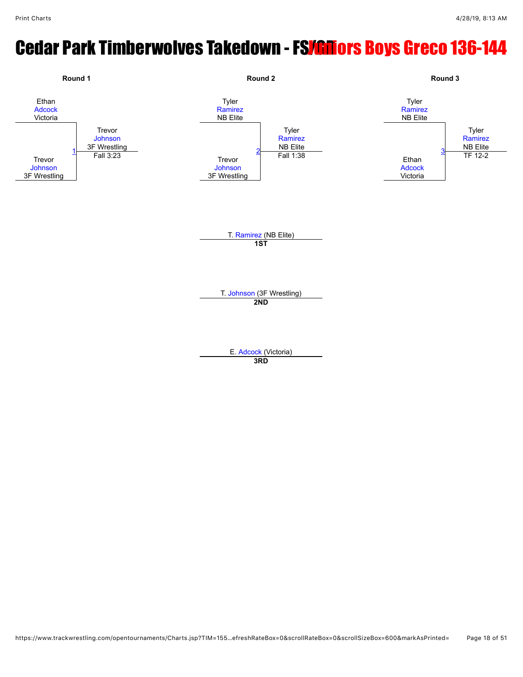## **Cedar Park Timberwolves Takedown - FS<mark>/GM</mark>ors Boys Greco 136-144**

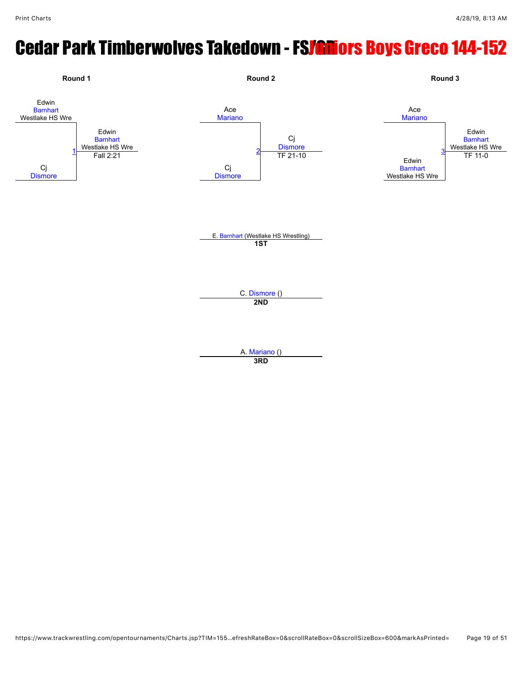# **Cedar Park Timberwolves Takedown - FSJGRiors Boys Greco 144-152**



**3RD**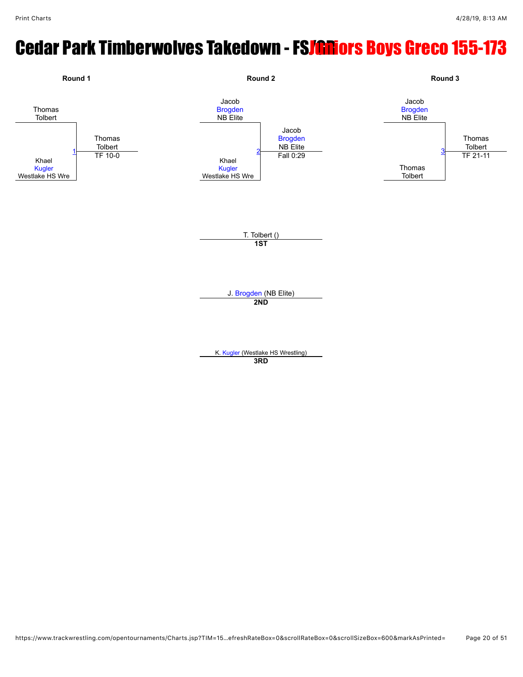# **Cedar Park Timberwolves Takedown - FSJGRiors Boys Greco 155-173**

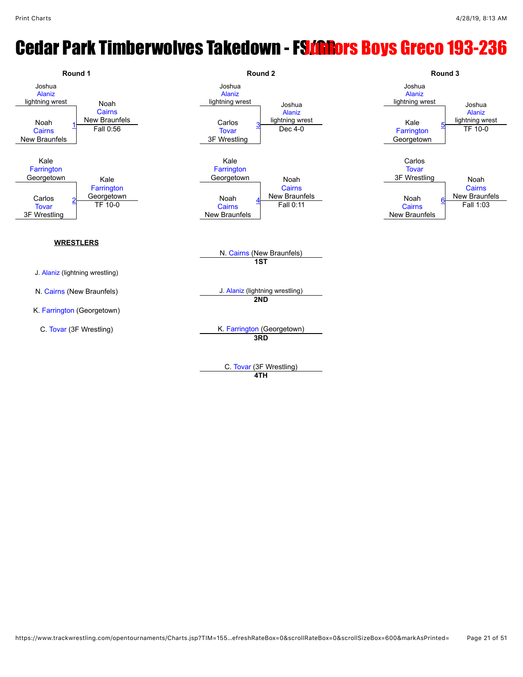### Cedar Park Timberwolves Takedown - FS/GRors Boys Greco 193-236



**4TH**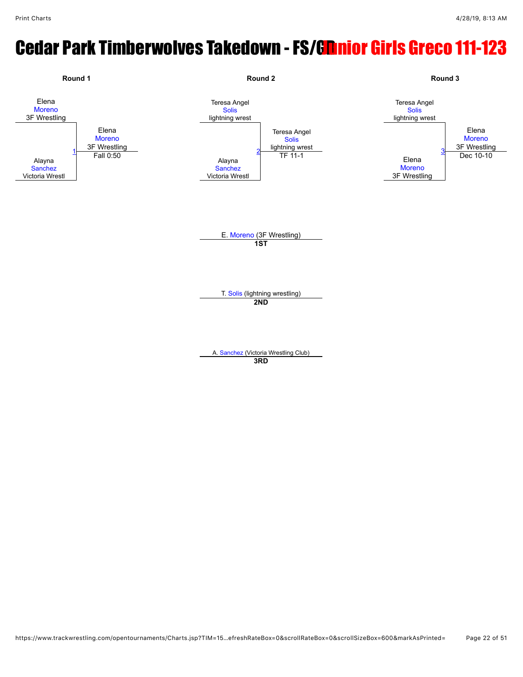# Cedar Park Timberwolves Takedown - FS/Gnnior Girls Greco 111-123

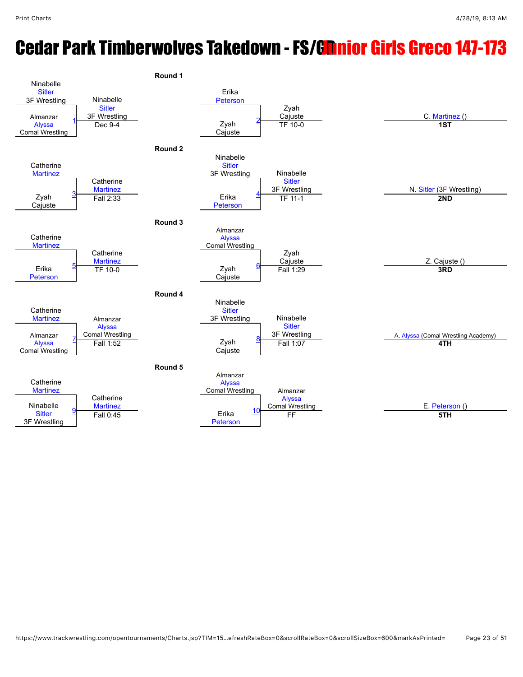# Cedar Park Timberwolves Takedown - FS/Gnnior Girls Greco 147-173

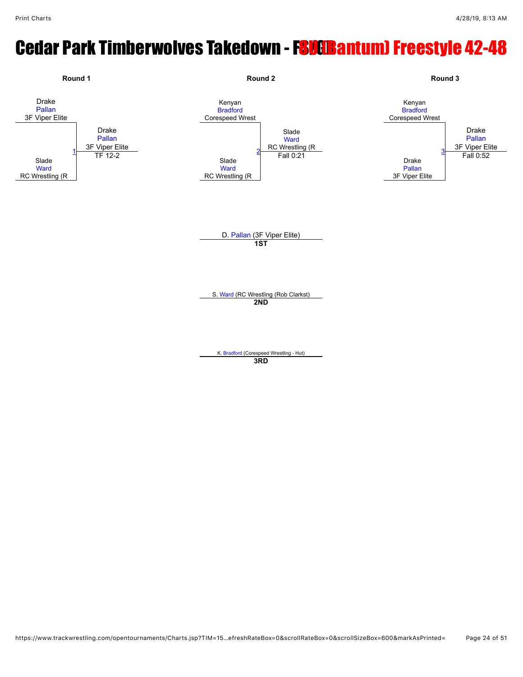# Cedar Park Timberwolves Takedown - FSUGBantum) Freestyle 42-48

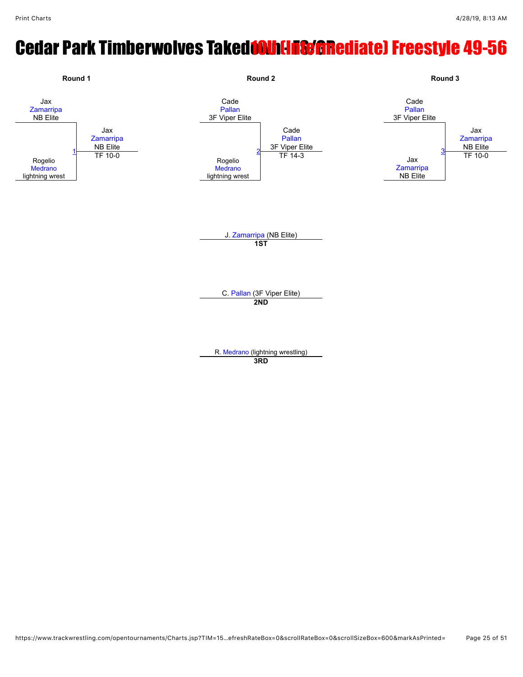# Cedar Park Timberwolves Takedonu (Inscanediate) Freestyle 49-56

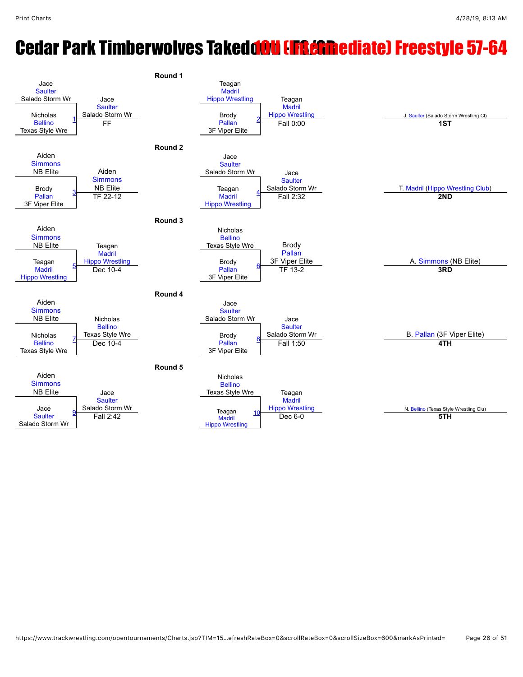## **Cedar Park Timberwolves Takedoou (Intermediate) Freestyle 57-64**

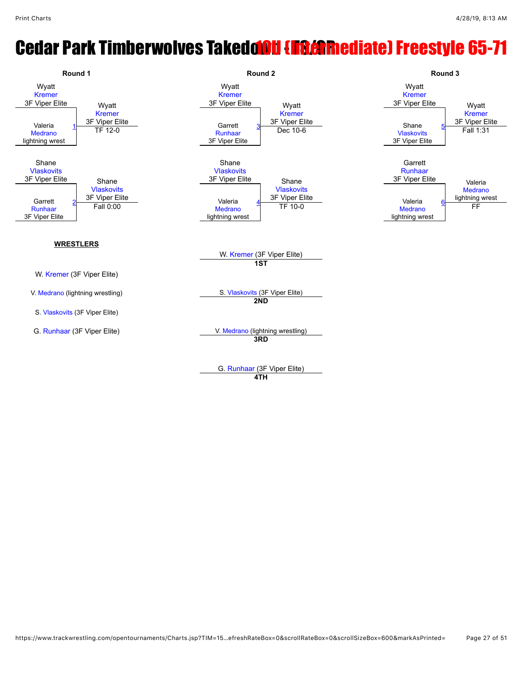## **Cedar Park Timberwolves Takedoou (Intermediate) Freestyle 65-71**



G. [Runhaar](javascript:viewProfile(1516770009)) (3F Viper Elite) **4TH**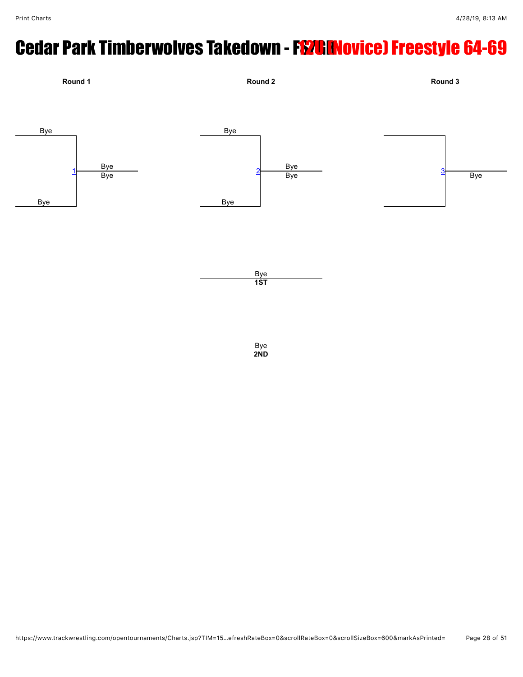# Cedar Park Timberwolves Takedown - FS/CENovice) Freestyle 64-69

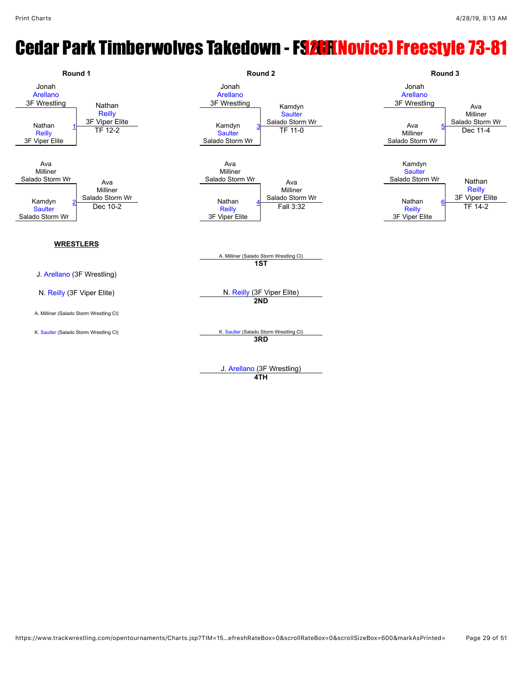#### **Cedar Park Timberwolves Takedown - FSAHINOVICE) Freestyle 73-81**



**4TH**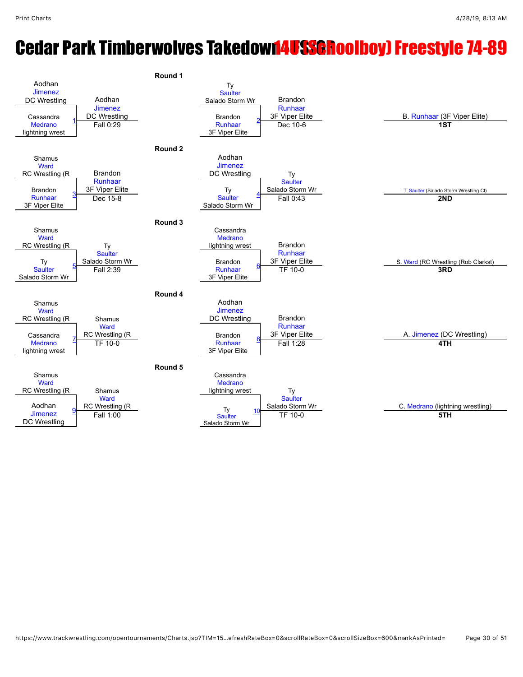## **Cedar Park Timberwolves Takedown4USSGRoolboy) Freestyle 74-89**

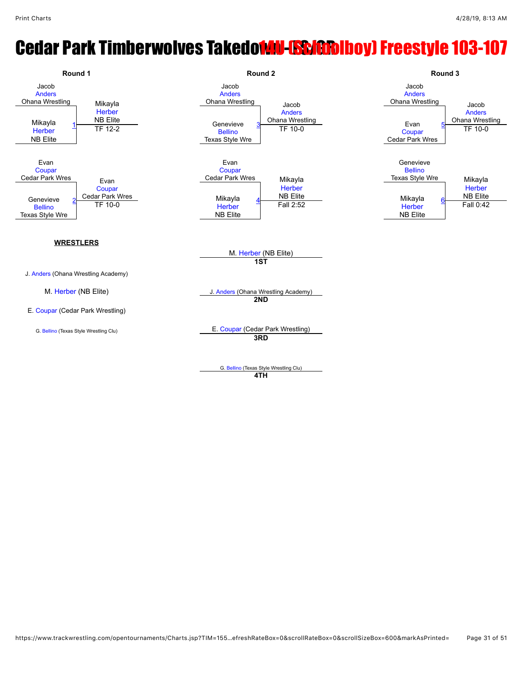#### **Cedar Park Timberwolves Takedown - ESM ANDI Preestyle 103-107**

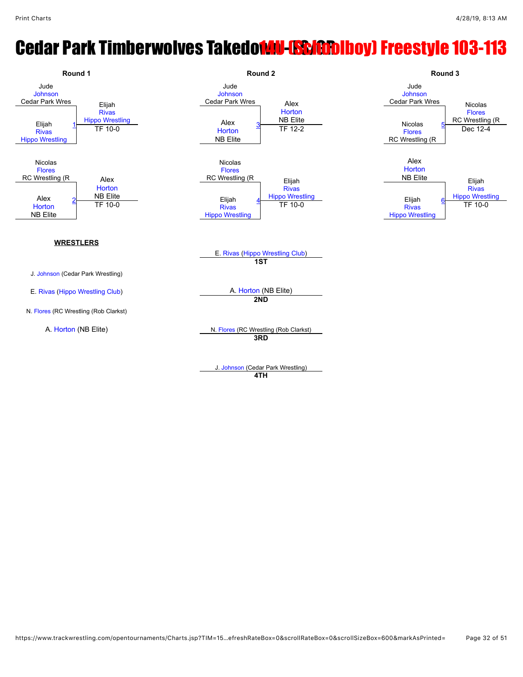## **Cedar Park Timberwolves Takedown - GSM 100 Freestyle 103-113**

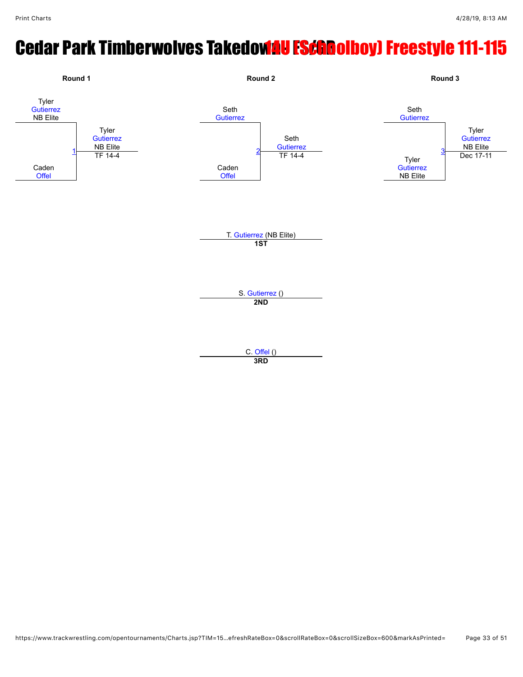# **Cedar Park Timberwolves Takedowau FSchoolboy) Freestyle 111-115**



**3RD**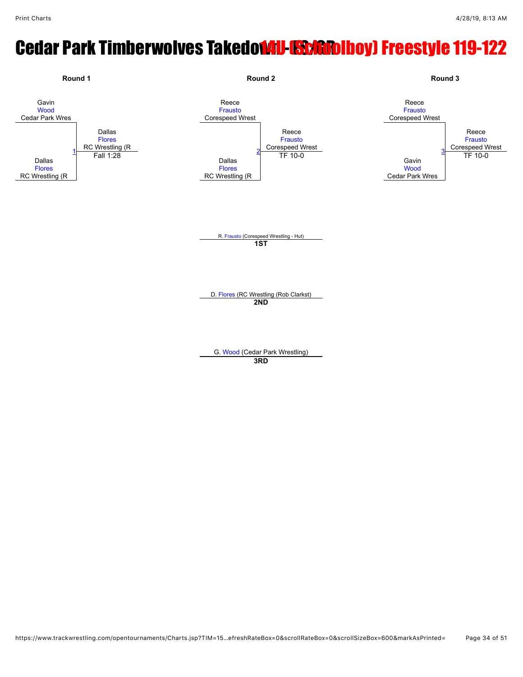# Cedar Park Timberwolves Takedowu **ESM CODIDOY** Freestyle 119-122

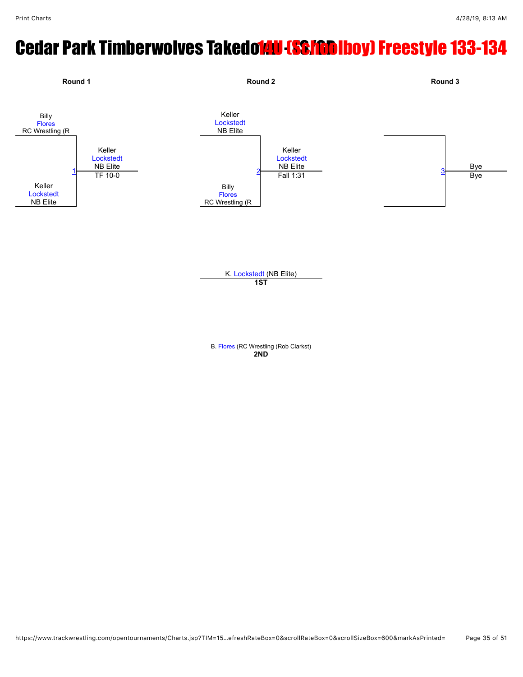# **Cedar Park Timberwolves Takedown (SS/GDIboy) Freestyle 133-134**

![](_page_34_Figure_3.jpeg)

**1ST**

B. [Flores](javascript:viewProfile(1176858132)) (RC Wrestling (Rob Clarkst) **2ND**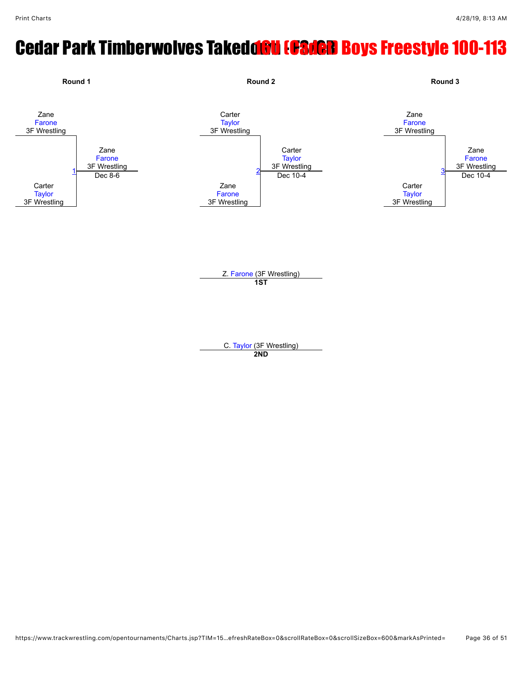# **Cedar Park Timberwolves Takedoou (GS/GD Boys Freestyle 100-113**

![](_page_35_Figure_3.jpeg)

C. [Taylor](javascript:viewProfile(47654096)) (3F Wrestling) **2ND**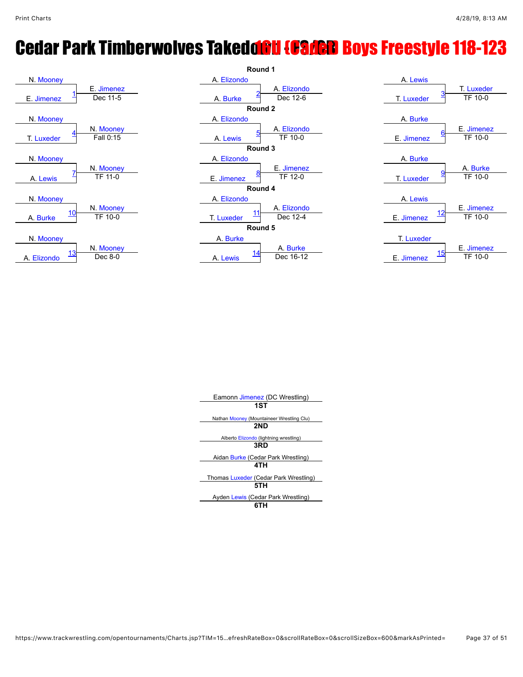# **Cedar Park Timberwolves Takedonu [Cadeu Boys Freestyle 118-123**

![](_page_36_Figure_3.jpeg)

![](_page_36_Figure_4.jpeg)

| A. Lewis                      |            |
|-------------------------------|------------|
|                               | T. Luxeder |
| <u>3</u><br><b>T. Luxeder</b> | TF 10-0    |
|                               |            |
| A. Burke                      |            |
| 6                             | E. Jimenez |
| E. Jimenez                    | TF 10-0    |
|                               |            |
| A. Burke                      |            |
| <u>9</u>                      | A. Burke   |
| <b>T. Luxeder</b>             | TF 10-0    |
|                               |            |
| A. Lewis                      |            |
| 12                            | E. Jimenez |
| E. Jimenez                    | TF 10-0    |
|                               |            |
| T. Luxeder                    |            |
| 15                            | E. Jimenez |
| F. Jimenez                    | TF 10-0    |

| Eamonn Jimenez (DC Wrestling)             |  |
|-------------------------------------------|--|
| 1ST                                       |  |
| Nathan Mooney (Mountaineer Wrestling Clu) |  |
| 2ND                                       |  |
|                                           |  |
| Alberto Elizondo (lightning wrestling)    |  |
| 3RD                                       |  |
| Aidan Burke (Cedar Park Wrestling)        |  |
| 4TH                                       |  |
| Thomas Luxeder (Cedar Park Wrestling)     |  |
| 5TH                                       |  |

Ayden [Lewis](javascript:viewProfile(1800109132)) (Cedar Park Wrestling) **6TH**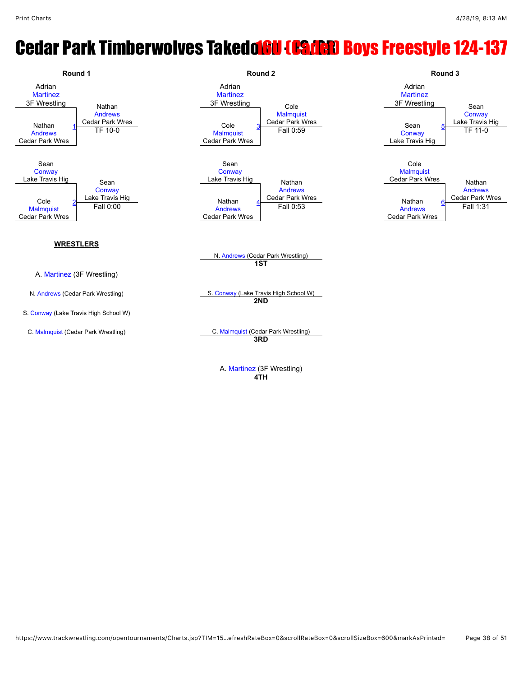### **Cedar Park Timberwolves Takedolow (Cader) Boys Freestyle 124-137**

![](_page_37_Figure_3.jpeg)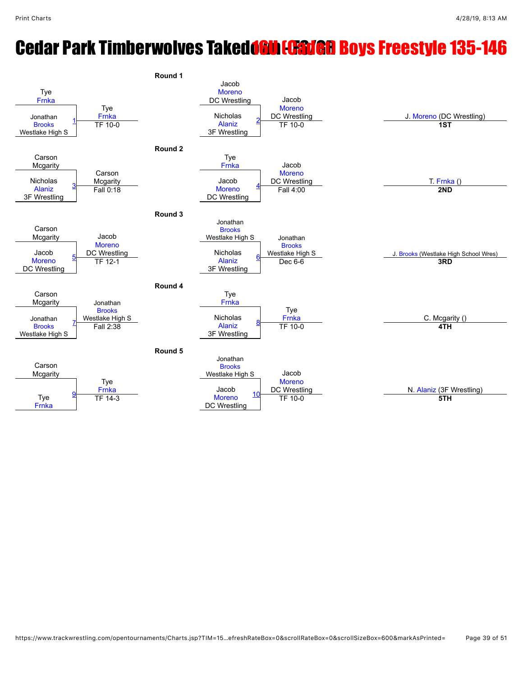# **Cedar Park Timberwolves Takedolin [Gaven Boys Freestyle 135-146**

![](_page_38_Figure_3.jpeg)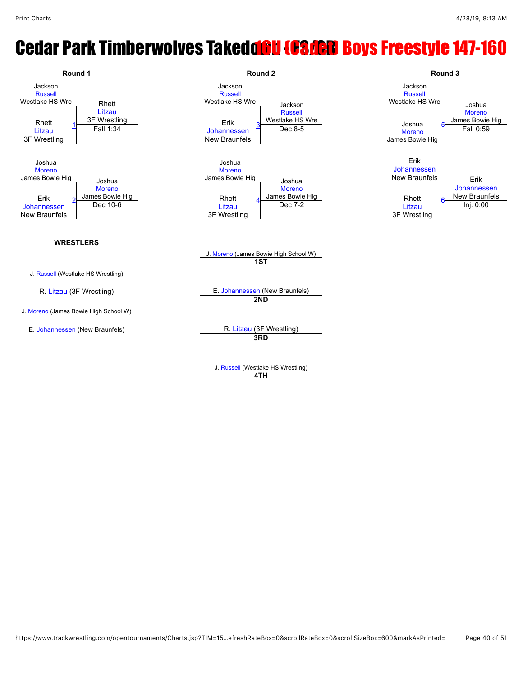## **Cedar Park Timberwolves Takedon II (Caden Boys Freestyle 147-160**

![](_page_39_Figure_3.jpeg)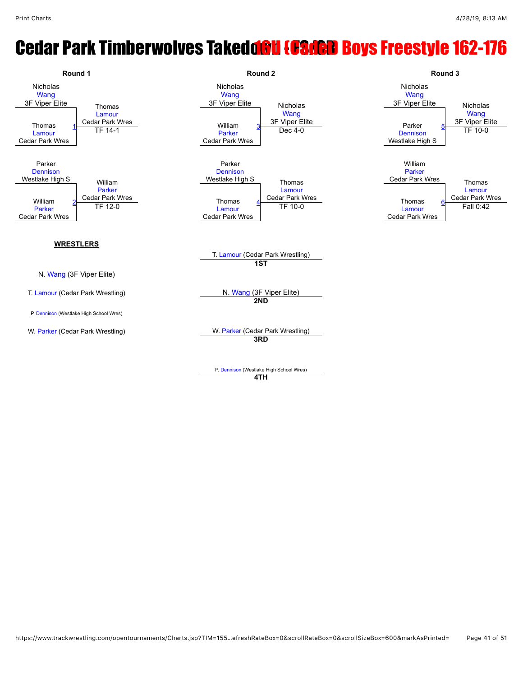### **Cedar Park Timberwolves Takedoou (CSAGD Boys Freestyle 162-176**

![](_page_40_Figure_3.jpeg)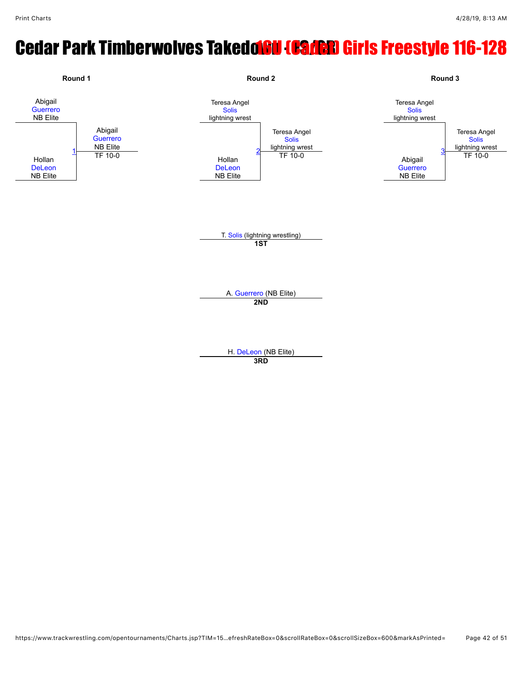# **Cedar Park Timberwolves Takedor Gamen Girls Freestyle 116-128**

![](_page_41_Figure_3.jpeg)

**3RD**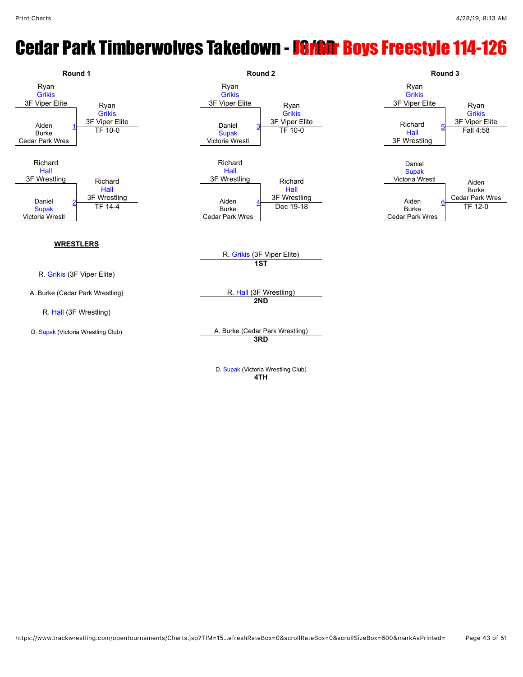# **Cedar Park Timberwolves Takedown - Farithr Boys Freestyle 114-126**

![](_page_42_Figure_3.jpeg)

**4TH**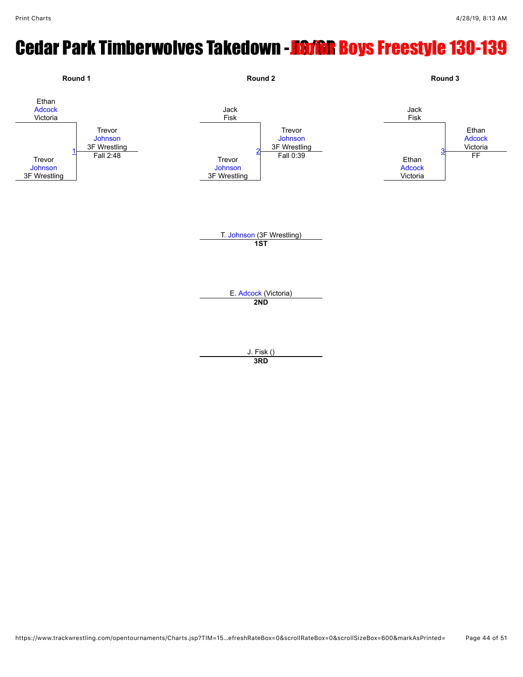## **Cedar Park Timberwolves Takedown - Farian Boys Freestyle 130-139**

![](_page_43_Figure_3.jpeg)

**3RD**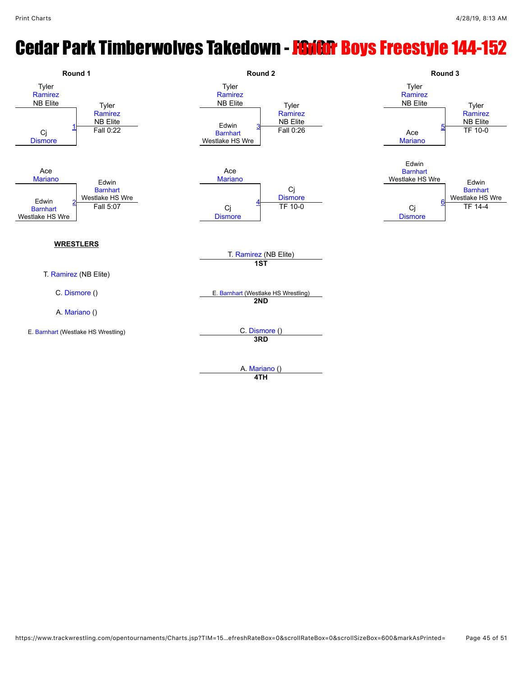# **Cedar Park Timberwolves Takedown - FSIGR Boys Freestyle 144-152**

![](_page_44_Figure_3.jpeg)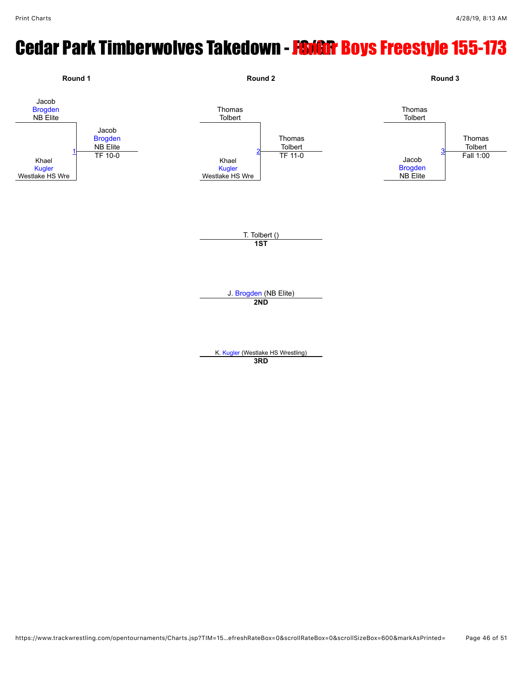# **Cedar Park Timberwolves Takedown - FSIGR Boys Freestyle 155-173**

![](_page_45_Figure_3.jpeg)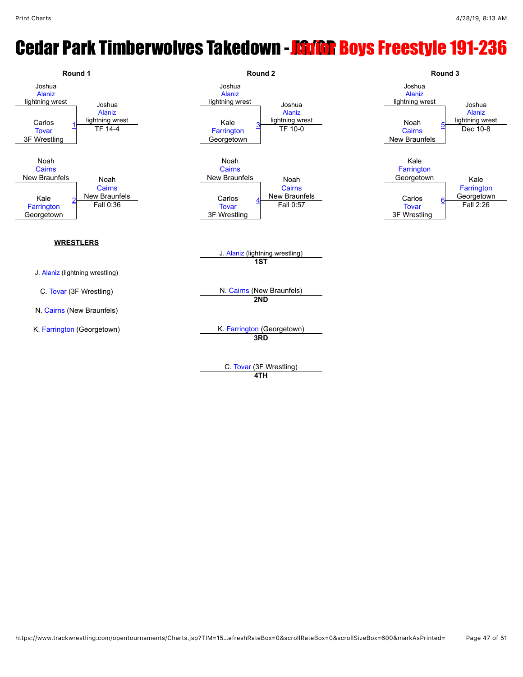#### **Cedar Park Timberwolves Takedown - FSI/GR Boys Freestyle 191-236**

![](_page_46_Figure_3.jpeg)

**4TH**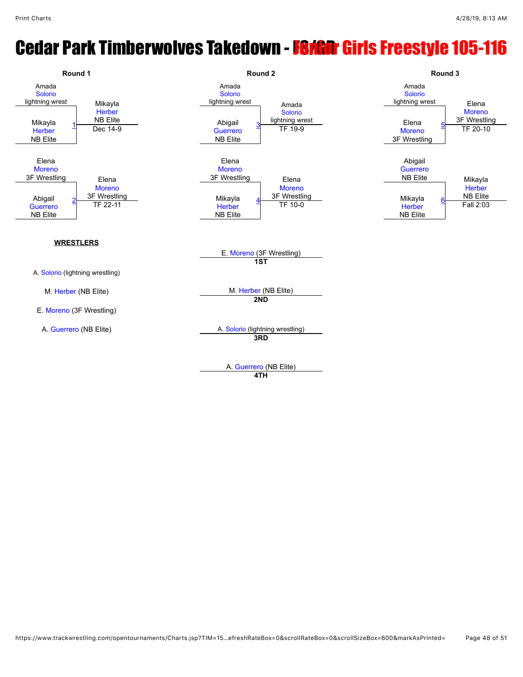### **Cedar Park Timberwolves Takedown - Farian Girls Freestyle 105-116**

![](_page_47_Figure_3.jpeg)

**4TH**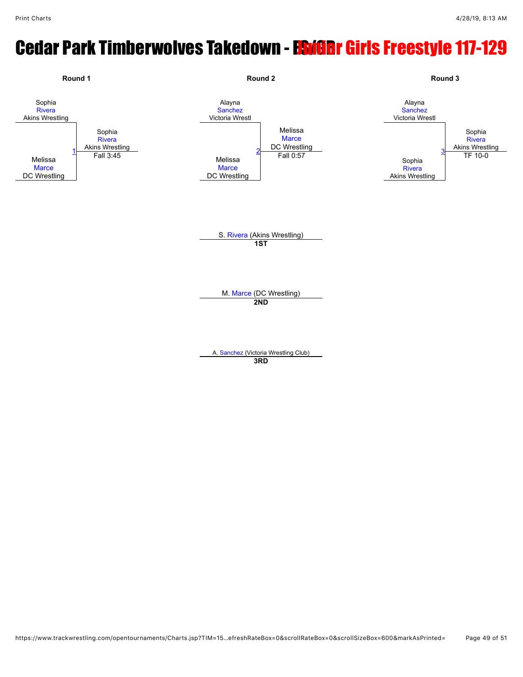## Cedar Park Timberwolves Takedown - ESIGRr Girls Freestyle 117-129

![](_page_48_Figure_3.jpeg)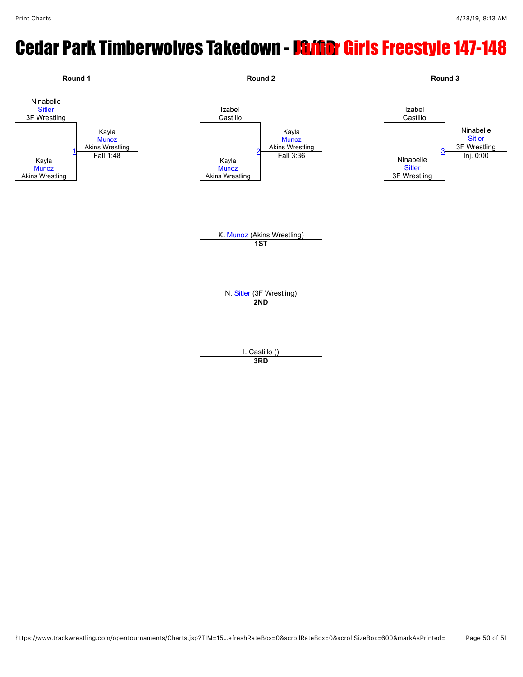# **Cedar Park Timberwolves Takedown - IS/GRT Girls Freestyle 147-148**

![](_page_49_Figure_3.jpeg)

**3RD**